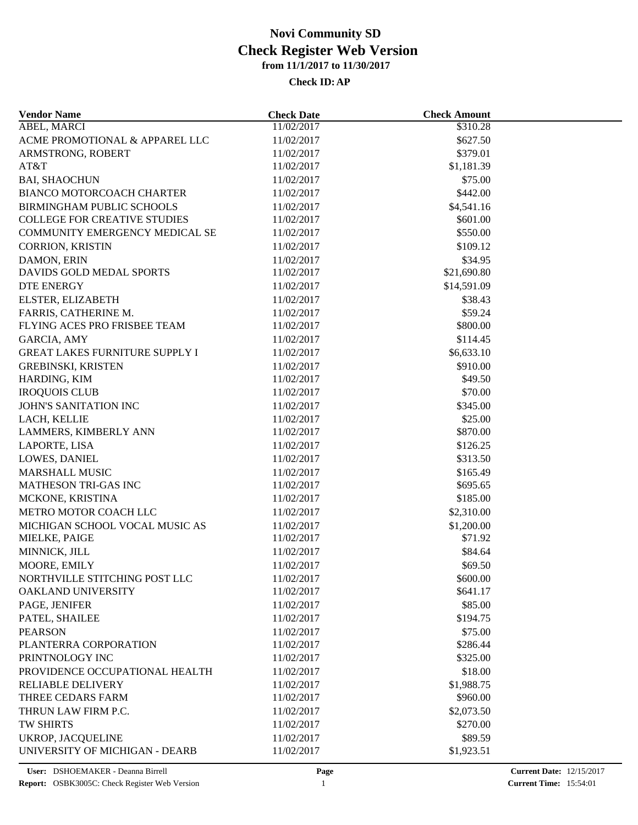| <b>Vendor Name</b>                    | <b>Check Date</b>        | <b>Check Amount</b>  |  |
|---------------------------------------|--------------------------|----------------------|--|
| ABEL, MARCI                           | 11/02/2017               | $\overline{$}310.28$ |  |
| ACME PROMOTIONAL & APPAREL LLC        | 11/02/2017               | \$627.50             |  |
| ARMSTRONG, ROBERT                     | 11/02/2017               | \$379.01             |  |
| AT&T                                  | 11/02/2017               | \$1,181.39           |  |
| <b>BAI, SHAOCHUN</b>                  | 11/02/2017               | \$75.00              |  |
| <b>BIANCO MOTORCOACH CHARTER</b>      | 11/02/2017               | \$442.00             |  |
| <b>BIRMINGHAM PUBLIC SCHOOLS</b>      | 11/02/2017               | \$4,541.16           |  |
| <b>COLLEGE FOR CREATIVE STUDIES</b>   | 11/02/2017               | \$601.00             |  |
| COMMUNITY EMERGENCY MEDICAL SE        | 11/02/2017               | \$550.00             |  |
| <b>CORRION, KRISTIN</b>               | 11/02/2017               | \$109.12             |  |
| DAMON, ERIN                           | 11/02/2017               | \$34.95              |  |
| DAVIDS GOLD MEDAL SPORTS              | 11/02/2017               | \$21,690.80          |  |
| <b>DTE ENERGY</b>                     | 11/02/2017               | \$14,591.09          |  |
| ELSTER, ELIZABETH                     | 11/02/2017               | \$38.43              |  |
| FARRIS, CATHERINE M.                  | 11/02/2017               | \$59.24              |  |
| FLYING ACES PRO FRISBEE TEAM          | 11/02/2017               | \$800.00             |  |
| GARCIA, AMY                           | 11/02/2017               | \$114.45             |  |
| <b>GREAT LAKES FURNITURE SUPPLY I</b> | 11/02/2017               | \$6,633.10           |  |
| <b>GREBINSKI, KRISTEN</b>             | 11/02/2017               | \$910.00             |  |
| HARDING, KIM                          | 11/02/2017               | \$49.50              |  |
| <b>IROQUOIS CLUB</b>                  | 11/02/2017               | \$70.00              |  |
| JOHN'S SANITATION INC                 | 11/02/2017               | \$345.00             |  |
| LACH, KELLIE                          | 11/02/2017               | \$25.00              |  |
| LAMMERS, KIMBERLY ANN                 | 11/02/2017               | \$870.00             |  |
| LAPORTE, LISA                         | 11/02/2017               | \$126.25             |  |
| LOWES, DANIEL                         | 11/02/2017               | \$313.50             |  |
| <b>MARSHALL MUSIC</b>                 | 11/02/2017               | \$165.49             |  |
| MATHESON TRI-GAS INC                  | 11/02/2017               | \$695.65             |  |
| MCKONE, KRISTINA                      | 11/02/2017               | \$185.00             |  |
| METRO MOTOR COACH LLC                 | 11/02/2017               | \$2,310.00           |  |
| MICHIGAN SCHOOL VOCAL MUSIC AS        | 11/02/2017               | \$1,200.00           |  |
| MIELKE, PAIGE                         | 11/02/2017               | \$71.92              |  |
| MINNICK, JILL                         | 11/02/2017               | \$84.64              |  |
| MOORE, EMILY                          | 11/02/2017               | \$69.50              |  |
| NORTHVILLE STITCHING POST LLC         | 11/02/2017               | \$600.00             |  |
| OAKLAND UNIVERSITY                    | 11/02/2017               | \$641.17             |  |
| PAGE, JENIFER                         | 11/02/2017               | \$85.00              |  |
| PATEL, SHAILEE                        | 11/02/2017               | \$194.75             |  |
| <b>PEARSON</b>                        |                          | \$75.00              |  |
| PLANTERRA CORPORATION                 | 11/02/2017<br>11/02/2017 | \$286.44             |  |
| PRINTNOLOGY INC                       | 11/02/2017               | \$325.00             |  |
|                                       |                          |                      |  |
| PROVIDENCE OCCUPATIONAL HEALTH        | 11/02/2017               | \$18.00              |  |
| <b>RELIABLE DELIVERY</b>              | 11/02/2017               | \$1,988.75           |  |
| THREE CEDARS FARM                     | 11/02/2017               | \$960.00             |  |
| THRUN LAW FIRM P.C.                   | 11/02/2017               | \$2,073.50           |  |
| TW SHIRTS                             | 11/02/2017               | \$270.00             |  |
| UKROP, JACQUELINE                     | 11/02/2017               | \$89.59              |  |
| UNIVERSITY OF MICHIGAN - DEARB        | 11/02/2017               | \$1,923.51           |  |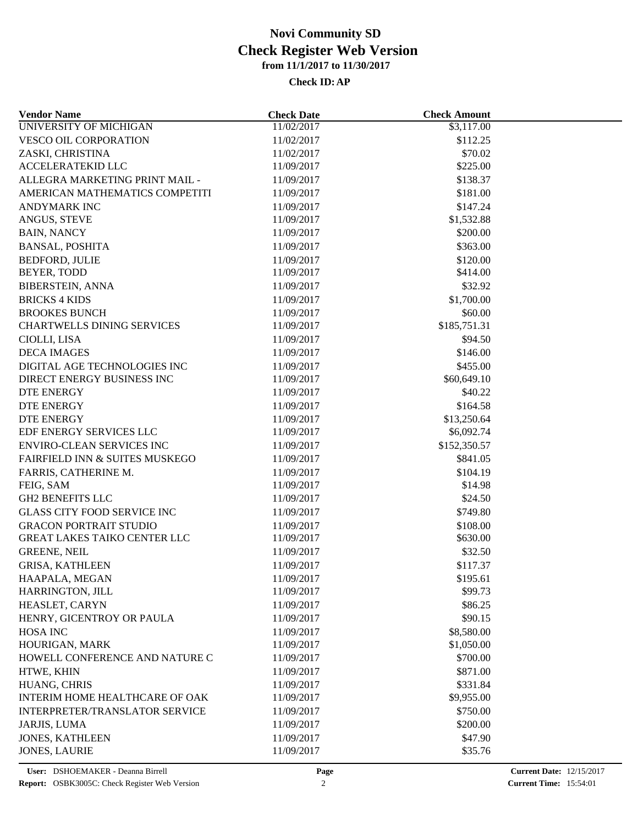| <b>Vendor Name</b>                 | <b>Check Date</b> | <b>Check Amount</b> |  |
|------------------------------------|-------------------|---------------------|--|
| <b>UNIVERSITY OF MICHIGAN</b>      | 11/02/2017        | \$3,117.00          |  |
| VESCO OIL CORPORATION              | 11/02/2017        | \$112.25            |  |
| ZASKI, CHRISTINA                   | 11/02/2017        | \$70.02             |  |
| <b>ACCELERATEKID LLC</b>           | 11/09/2017        | \$225.00            |  |
| ALLEGRA MARKETING PRINT MAIL -     | 11/09/2017        | \$138.37            |  |
| AMERICAN MATHEMATICS COMPETITI     | 11/09/2017        | \$181.00            |  |
| ANDYMARK INC                       | 11/09/2017        | \$147.24            |  |
| ANGUS, STEVE                       | 11/09/2017        | \$1,532.88          |  |
| <b>BAIN, NANCY</b>                 | 11/09/2017        | \$200.00            |  |
| <b>BANSAL, POSHITA</b>             | 11/09/2017        | \$363.00            |  |
| <b>BEDFORD, JULIE</b>              | 11/09/2017        | \$120.00            |  |
| BEYER, TODD                        | 11/09/2017        | \$414.00            |  |
| <b>BIBERSTEIN, ANNA</b>            | 11/09/2017        | \$32.92             |  |
| <b>BRICKS 4 KIDS</b>               | 11/09/2017        | \$1,700.00          |  |
| <b>BROOKES BUNCH</b>               | 11/09/2017        | \$60.00             |  |
| <b>CHARTWELLS DINING SERVICES</b>  | 11/09/2017        | \$185,751.31        |  |
| CIOLLI, LISA                       | 11/09/2017        | \$94.50             |  |
| <b>DECA IMAGES</b>                 | 11/09/2017        | \$146.00            |  |
|                                    |                   |                     |  |
| DIGITAL AGE TECHNOLOGIES INC       | 11/09/2017        | \$455.00            |  |
| DIRECT ENERGY BUSINESS INC         | 11/09/2017        | \$60,649.10         |  |
| <b>DTE ENERGY</b>                  | 11/09/2017        | \$40.22             |  |
| <b>DTE ENERGY</b>                  | 11/09/2017        | \$164.58            |  |
| <b>DTE ENERGY</b>                  | 11/09/2017        | \$13,250.64         |  |
| EDF ENERGY SERVICES LLC            | 11/09/2017        | \$6,092.74          |  |
| <b>ENVIRO-CLEAN SERVICES INC</b>   | 11/09/2017        | \$152,350.57        |  |
| FAIRFIELD INN & SUITES MUSKEGO     | 11/09/2017        | \$841.05            |  |
| FARRIS, CATHERINE M.               | 11/09/2017        | \$104.19            |  |
| FEIG, SAM                          | 11/09/2017        | \$14.98             |  |
| <b>GH2 BENEFITS LLC</b>            | 11/09/2017        | \$24.50             |  |
| <b>GLASS CITY FOOD SERVICE INC</b> | 11/09/2017        | \$749.80            |  |
| <b>GRACON PORTRAIT STUDIO</b>      | 11/09/2017        | \$108.00            |  |
| GREAT LAKES TAIKO CENTER LLC       | 11/09/2017        | \$630.00            |  |
| <b>GREENE, NEIL</b>                | 11/09/2017        | \$32.50             |  |
| <b>GRISA, KATHLEEN</b>             | 11/09/2017        | \$117.37            |  |
| HAAPALA, MEGAN                     | 11/09/2017        | \$195.61            |  |
| HARRINGTON, JILL                   | 11/09/2017        | \$99.73             |  |
| HEASLET, CARYN                     | 11/09/2017        | \$86.25             |  |
| HENRY, GICENTROY OR PAULA          | 11/09/2017        | \$90.15             |  |
| <b>HOSA INC</b>                    | 11/09/2017        | \$8,580.00          |  |
| HOURIGAN, MARK                     | 11/09/2017        | \$1,050.00          |  |
| HOWELL CONFERENCE AND NATURE C     | 11/09/2017        | \$700.00            |  |
| HTWE, KHIN                         | 11/09/2017        | \$871.00            |  |
| HUANG, CHRIS                       | 11/09/2017        | \$331.84            |  |
| INTERIM HOME HEALTHCARE OF OAK     | 11/09/2017        | \$9,955.00          |  |
| INTERPRETER/TRANSLATOR SERVICE     | 11/09/2017        | \$750.00            |  |
| JARJIS, LUMA                       | 11/09/2017        | \$200.00            |  |
| <b>JONES, KATHLEEN</b>             | 11/09/2017        | \$47.90             |  |
| <b>JONES, LAURIE</b>               | 11/09/2017        | \$35.76             |  |
|                                    |                   |                     |  |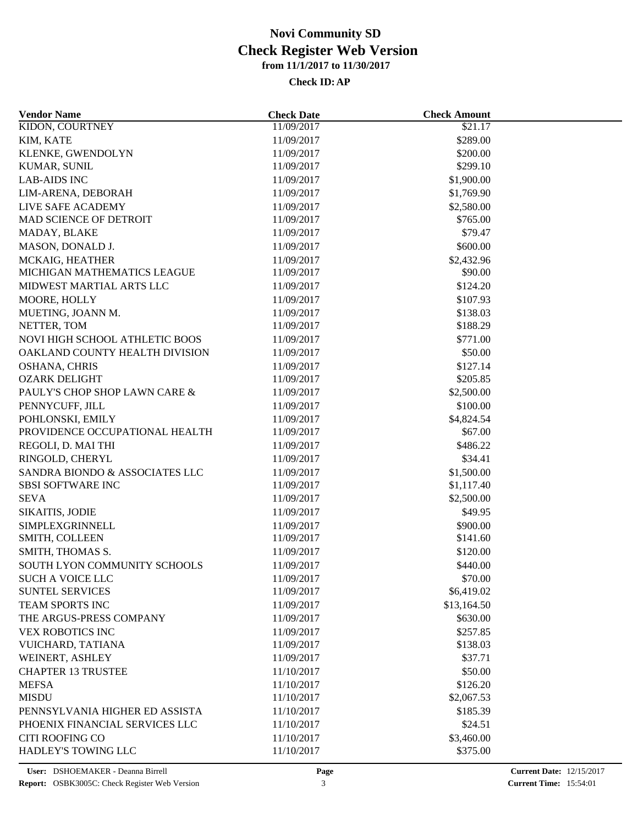| <b>Vendor Name</b>             | <b>Check Date</b> | <b>Check Amount</b> |  |
|--------------------------------|-------------------|---------------------|--|
| <b>KIDON, COURTNEY</b>         | 11/09/2017        | \$21.17             |  |
| KIM, KATE                      | 11/09/2017        | \$289.00            |  |
| KLENKE, GWENDOLYN              | 11/09/2017        | \$200.00            |  |
| KUMAR, SUNIL                   | 11/09/2017        | \$299.10            |  |
| <b>LAB-AIDS INC</b>            | 11/09/2017        | \$1,900.00          |  |
| LIM-ARENA, DEBORAH             | 11/09/2017        | \$1,769.90          |  |
| LIVE SAFE ACADEMY              | 11/09/2017        | \$2,580.00          |  |
| MAD SCIENCE OF DETROIT         | 11/09/2017        | \$765.00            |  |
| MADAY, BLAKE                   | 11/09/2017        | \$79.47             |  |
| MASON, DONALD J.               | 11/09/2017        | \$600.00            |  |
| MCKAIG, HEATHER                | 11/09/2017        | \$2,432.96          |  |
| MICHIGAN MATHEMATICS LEAGUE    | 11/09/2017        | \$90.00             |  |
| MIDWEST MARTIAL ARTS LLC       | 11/09/2017        | \$124.20            |  |
| MOORE, HOLLY                   | 11/09/2017        | \$107.93            |  |
| MUETING, JOANN M.              | 11/09/2017        | \$138.03            |  |
| NETTER, TOM                    | 11/09/2017        | \$188.29            |  |
| NOVI HIGH SCHOOL ATHLETIC BOOS | 11/09/2017        | \$771.00            |  |
| OAKLAND COUNTY HEALTH DIVISION | 11/09/2017        | \$50.00             |  |
| OSHANA, CHRIS                  | 11/09/2017        | \$127.14            |  |
| <b>OZARK DELIGHT</b>           | 11/09/2017        | \$205.85            |  |
| PAULY'S CHOP SHOP LAWN CARE &  | 11/09/2017        | \$2,500.00          |  |
| PENNYCUFF, JILL                | 11/09/2017        | \$100.00            |  |
| POHLONSKI, EMILY               | 11/09/2017        | \$4,824.54          |  |
| PROVIDENCE OCCUPATIONAL HEALTH | 11/09/2017        | \$67.00             |  |
| REGOLI, D. MAI THI             | 11/09/2017        | \$486.22            |  |
| RINGOLD, CHERYL                | 11/09/2017        | \$34.41             |  |
| SANDRA BIONDO & ASSOCIATES LLC | 11/09/2017        | \$1,500.00          |  |
| <b>SBSI SOFTWARE INC</b>       | 11/09/2017        | \$1,117.40          |  |
| <b>SEVA</b>                    | 11/09/2017        | \$2,500.00          |  |
|                                |                   |                     |  |
| SIKAITIS, JODIE                | 11/09/2017        | \$49.95             |  |
| SIMPLEXGRINNELL                | 11/09/2017        | \$900.00            |  |
| SMITH, COLLEEN                 | 11/09/2017        | \$141.60            |  |
| SMITH, THOMAS S.               | 11/09/2017        | \$120.00            |  |
| SOUTH LYON COMMUNITY SCHOOLS   | 11/09/2017        | \$440.00            |  |
| <b>SUCH A VOICE LLC</b>        | 11/09/2017        | \$70.00             |  |
| <b>SUNTEL SERVICES</b>         | 11/09/2017        | \$6,419.02          |  |
| <b>TEAM SPORTS INC</b>         | 11/09/2017        | \$13,164.50         |  |
| THE ARGUS-PRESS COMPANY        | 11/09/2017        | \$630.00            |  |
| <b>VEX ROBOTICS INC</b>        | 11/09/2017        | \$257.85            |  |
| VUICHARD, TATIANA              | 11/09/2017        | \$138.03            |  |
| WEINERT, ASHLEY                | 11/09/2017        | \$37.71             |  |
| <b>CHAPTER 13 TRUSTEE</b>      | 11/10/2017        | \$50.00             |  |
| <b>MEFSA</b>                   | 11/10/2017        | \$126.20            |  |
| <b>MISDU</b>                   | 11/10/2017        | \$2,067.53          |  |
| PENNSYLVANIA HIGHER ED ASSISTA | 11/10/2017        | \$185.39            |  |
| PHOENIX FINANCIAL SERVICES LLC | 11/10/2017        | \$24.51             |  |
| <b>CITI ROOFING CO</b>         | 11/10/2017        | \$3,460.00          |  |
| HADLEY'S TOWING LLC            | 11/10/2017        | \$375.00            |  |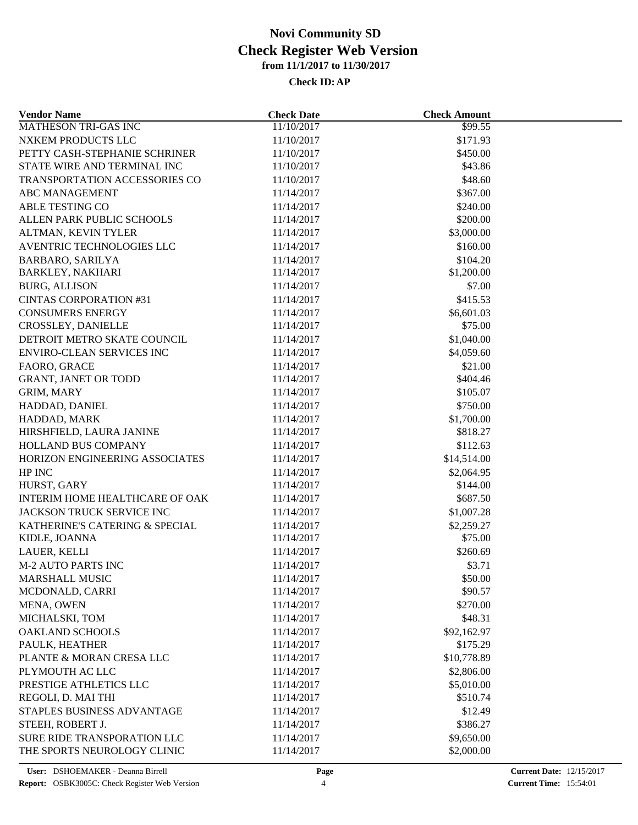| <b>Vendor Name</b>                   | <b>Check Date</b>        | <b>Check Amount</b> |  |
|--------------------------------------|--------------------------|---------------------|--|
| <b>MATHESON TRI-GAS INC</b>          | 11/10/2017               | \$99.55             |  |
| NXKEM PRODUCTS LLC                   | 11/10/2017               | \$171.93            |  |
| PETTY CASH-STEPHANIE SCHRINER        | 11/10/2017               | \$450.00            |  |
| STATE WIRE AND TERMINAL INC          | 11/10/2017               | \$43.86             |  |
| <b>TRANSPORTATION ACCESSORIES CO</b> | 11/10/2017               | \$48.60             |  |
| <b>ABC MANAGEMENT</b>                | 11/14/2017               | \$367.00            |  |
| ABLE TESTING CO                      | 11/14/2017               | \$240.00            |  |
| ALLEN PARK PUBLIC SCHOOLS            | 11/14/2017               | \$200.00            |  |
| ALTMAN, KEVIN TYLER                  | 11/14/2017               | \$3,000.00          |  |
| AVENTRIC TECHNOLOGIES LLC            | 11/14/2017               | \$160.00            |  |
| <b>BARBARO, SARILYA</b>              | 11/14/2017               | \$104.20            |  |
| <b>BARKLEY, NAKHARI</b>              | 11/14/2017               | \$1,200.00          |  |
| <b>BURG, ALLISON</b>                 | 11/14/2017               | \$7.00              |  |
| <b>CINTAS CORPORATION #31</b>        | 11/14/2017               | \$415.53            |  |
| <b>CONSUMERS ENERGY</b>              | 11/14/2017               | \$6,601.03          |  |
| CROSSLEY, DANIELLE                   | 11/14/2017               | \$75.00             |  |
| DETROIT METRO SKATE COUNCIL          | 11/14/2017               | \$1,040.00          |  |
| <b>ENVIRO-CLEAN SERVICES INC</b>     | 11/14/2017               | \$4,059.60          |  |
| FAORO, GRACE                         | 11/14/2017               | \$21.00             |  |
| <b>GRANT, JANET OR TODD</b>          | 11/14/2017               | \$404.46            |  |
| <b>GRIM, MARY</b>                    | 11/14/2017               | \$105.07            |  |
| HADDAD, DANIEL                       | 11/14/2017               | \$750.00            |  |
| HADDAD, MARK                         | 11/14/2017               | \$1,700.00          |  |
| HIRSHFIELD, LAURA JANINE             | 11/14/2017               | \$818.27            |  |
| <b>HOLLAND BUS COMPANY</b>           | 11/14/2017               | \$112.63            |  |
| HORIZON ENGINEERING ASSOCIATES       | 11/14/2017               | \$14,514.00         |  |
| HP INC                               | 11/14/2017               | \$2,064.95          |  |
| HURST, GARY                          | 11/14/2017               | \$144.00            |  |
| INTERIM HOME HEALTHCARE OF OAK       | 11/14/2017               | \$687.50            |  |
| JACKSON TRUCK SERVICE INC            | 11/14/2017               | \$1,007.28          |  |
| KATHERINE'S CATERING & SPECIAL       | 11/14/2017               | \$2,259.27          |  |
| KIDLE, JOANNA                        | 11/14/2017               | \$75.00             |  |
| LAUER, KELLI                         | 11/14/2017               | \$260.69            |  |
| <b>M-2 AUTO PARTS INC</b>            | 11/14/2017               | \$3.71              |  |
| <b>MARSHALL MUSIC</b>                | 11/14/2017               | \$50.00             |  |
| MCDONALD, CARRI                      | 11/14/2017               | \$90.57             |  |
| MENA, OWEN                           | 11/14/2017               | \$270.00            |  |
| MICHALSKI, TOM                       | 11/14/2017               | \$48.31             |  |
| <b>OAKLAND SCHOOLS</b>               |                          | \$92,162.97         |  |
| PAULK, HEATHER                       | 11/14/2017<br>11/14/2017 | \$175.29            |  |
| PLANTE & MORAN CRESA LLC             | 11/14/2017               | \$10,778.89         |  |
|                                      |                          |                     |  |
| PLYMOUTH AC LLC                      | 11/14/2017               | \$2,806.00          |  |
| PRESTIGE ATHLETICS LLC               | 11/14/2017               | \$5,010.00          |  |
| REGOLI, D. MAI THI                   | 11/14/2017               | \$510.74            |  |
| STAPLES BUSINESS ADVANTAGE           | 11/14/2017               | \$12.49             |  |
| STEEH, ROBERT J.                     | 11/14/2017               | \$386.27            |  |
| SURE RIDE TRANSPORATION LLC          | 11/14/2017               | \$9,650.00          |  |
| THE SPORTS NEUROLOGY CLINIC          | 11/14/2017               | \$2,000.00          |  |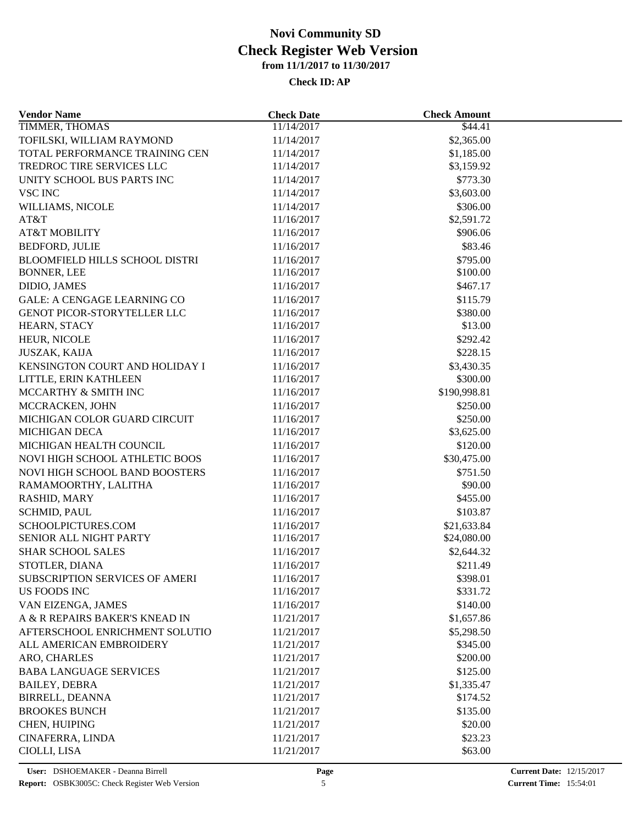| <b>Vendor Name</b>                 | <b>Check Date</b>        | <b>Check Amount</b> |  |
|------------------------------------|--------------------------|---------------------|--|
| <b>TIMMER, THOMAS</b>              | 11/14/2017               | \$44.41             |  |
| TOFILSKI, WILLIAM RAYMOND          | 11/14/2017               | \$2,365.00          |  |
| TOTAL PERFORMANCE TRAINING CEN     | 11/14/2017               | \$1,185.00          |  |
| TREDROC TIRE SERVICES LLC          | 11/14/2017               | \$3,159.92          |  |
| UNITY SCHOOL BUS PARTS INC         | 11/14/2017               | \$773.30            |  |
| <b>VSC INC</b>                     | 11/14/2017               | \$3,603.00          |  |
| WILLIAMS, NICOLE                   | 11/14/2017               | \$306.00            |  |
| AT&T                               | 11/16/2017               | \$2,591.72          |  |
| <b>AT&amp;T MOBILITY</b>           | 11/16/2017               | \$906.06            |  |
| <b>BEDFORD, JULIE</b>              | 11/16/2017               | \$83.46             |  |
| BLOOMFIELD HILLS SCHOOL DISTRI     | 11/16/2017               | \$795.00            |  |
| <b>BONNER, LEE</b>                 | 11/16/2017               | \$100.00            |  |
| DIDIO, JAMES                       | 11/16/2017               | \$467.17            |  |
| <b>GALE: A CENGAGE LEARNING CO</b> | 11/16/2017               | \$115.79            |  |
| GENOT PICOR-STORYTELLER LLC        | 11/16/2017               | \$380.00            |  |
| HEARN, STACY                       | 11/16/2017               | \$13.00             |  |
| HEUR, NICOLE                       | 11/16/2017               | \$292.42            |  |
| <b>JUSZAK, KAIJA</b>               | 11/16/2017               | \$228.15            |  |
| KENSINGTON COURT AND HOLIDAY I     | 11/16/2017               | \$3,430.35          |  |
| LITTLE, ERIN KATHLEEN              | 11/16/2017               | \$300.00            |  |
| MCCARTHY & SMITH INC               | 11/16/2017               | \$190,998.81        |  |
| MCCRACKEN, JOHN                    | 11/16/2017               | \$250.00            |  |
| MICHIGAN COLOR GUARD CIRCUIT       | 11/16/2017               | \$250.00            |  |
| <b>MICHIGAN DECA</b>               | 11/16/2017               | \$3,625.00          |  |
| MICHIGAN HEALTH COUNCIL            | 11/16/2017               | \$120.00            |  |
| NOVI HIGH SCHOOL ATHLETIC BOOS     | 11/16/2017               | \$30,475.00         |  |
| NOVI HIGH SCHOOL BAND BOOSTERS     |                          | \$751.50            |  |
| RAMAMOORTHY, LALITHA               | 11/16/2017<br>11/16/2017 | \$90.00             |  |
| RASHID, MARY                       | 11/16/2017               | \$455.00            |  |
| <b>SCHMID, PAUL</b>                | 11/16/2017               | \$103.87            |  |
|                                    |                          |                     |  |
| SCHOOLPICTURES.COM                 | 11/16/2017<br>11/16/2017 | \$21,633.84         |  |
| SENIOR ALL NIGHT PARTY             |                          | \$24,080.00         |  |
| <b>SHAR SCHOOL SALES</b>           | 11/16/2017               | \$2,644.32          |  |
| STOTLER, DIANA                     | 11/16/2017               | \$211.49            |  |
| SUBSCRIPTION SERVICES OF AMERI     | 11/16/2017               | \$398.01            |  |
| US FOODS INC                       | 11/16/2017               | \$331.72            |  |
| VAN EIZENGA, JAMES                 | 11/16/2017               | \$140.00            |  |
| A & R REPAIRS BAKER'S KNEAD IN     | 11/21/2017               | \$1,657.86          |  |
| AFTERSCHOOL ENRICHMENT SOLUTIO     | 11/21/2017               | \$5,298.50          |  |
| ALL AMERICAN EMBROIDERY            | 11/21/2017               | \$345.00            |  |
| ARO, CHARLES                       | 11/21/2017               | \$200.00            |  |
| <b>BABA LANGUAGE SERVICES</b>      | 11/21/2017               | \$125.00            |  |
| <b>BAILEY, DEBRA</b>               | 11/21/2017               | \$1,335.47          |  |
| BIRRELL, DEANNA                    | 11/21/2017               | \$174.52            |  |
| <b>BROOKES BUNCH</b>               | 11/21/2017               | \$135.00            |  |
| CHEN, HUIPING                      | 11/21/2017               | \$20.00             |  |
| CINAFERRA, LINDA                   | 11/21/2017               | \$23.23             |  |
| CIOLLI, LISA                       | 11/21/2017               | \$63.00             |  |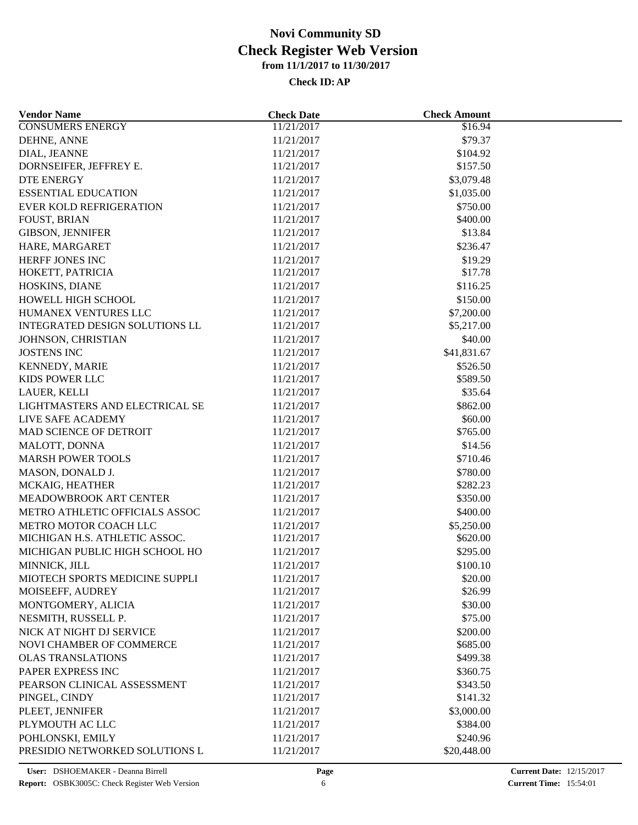| <b>Vendor Name</b>                    | <b>Check Date</b> | <b>Check Amount</b>  |  |
|---------------------------------------|-------------------|----------------------|--|
| <b>CONSUMERS ENERGY</b>               | 11/21/2017        | \$16.94              |  |
| DEHNE, ANNE                           | 11/21/2017        | \$79.37              |  |
| DIAL, JEANNE                          | 11/21/2017        | \$104.92             |  |
| DORNSEIFER, JEFFREY E.                | 11/21/2017        | \$157.50             |  |
| DTE ENERGY                            | 11/21/2017        | \$3,079.48           |  |
| <b>ESSENTIAL EDUCATION</b>            | 11/21/2017        | \$1,035.00           |  |
| <b>EVER KOLD REFRIGERATION</b>        | 11/21/2017        | \$750.00             |  |
| <b>FOUST, BRIAN</b>                   | 11/21/2017        | \$400.00             |  |
| <b>GIBSON, JENNIFER</b>               | 11/21/2017        | \$13.84              |  |
| HARE, MARGARET                        | 11/21/2017        | \$236.47             |  |
| HERFF JONES INC                       | 11/21/2017        | \$19.29              |  |
| HOKETT, PATRICIA                      | 11/21/2017        | \$17.78              |  |
| HOSKINS, DIANE                        | 11/21/2017        | \$116.25             |  |
| HOWELL HIGH SCHOOL                    | 11/21/2017        | \$150.00             |  |
| HUMANEX VENTURES LLC                  | 11/21/2017        | \$7,200.00           |  |
| <b>INTEGRATED DESIGN SOLUTIONS LL</b> | 11/21/2017        | \$5,217.00           |  |
| JOHNSON, CHRISTIAN                    | 11/21/2017        | \$40.00              |  |
| <b>JOSTENS INC</b>                    | 11/21/2017        | \$41,831.67          |  |
| KENNEDY, MARIE                        | 11/21/2017        | \$526.50             |  |
| KIDS POWER LLC                        | 11/21/2017        | \$589.50             |  |
| LAUER, KELLI                          | 11/21/2017        | \$35.64              |  |
| LIGHTMASTERS AND ELECTRICAL SE        | 11/21/2017        | \$862.00             |  |
| LIVE SAFE ACADEMY                     | 11/21/2017        | \$60.00              |  |
| MAD SCIENCE OF DETROIT                | 11/21/2017        | \$765.00             |  |
| MALOTT, DONNA                         | 11/21/2017        | \$14.56              |  |
| <b>MARSH POWER TOOLS</b>              |                   | \$710.46             |  |
|                                       | 11/21/2017        |                      |  |
| MASON, DONALD J.                      | 11/21/2017        | \$780.00<br>\$282.23 |  |
| MCKAIG, HEATHER                       | 11/21/2017        |                      |  |
| MEADOWBROOK ART CENTER                | 11/21/2017        | \$350.00             |  |
| METRO ATHLETIC OFFICIALS ASSOC        | 11/21/2017        | \$400.00             |  |
| METRO MOTOR COACH LLC                 | 11/21/2017        | \$5,250.00           |  |
| MICHIGAN H.S. ATHLETIC ASSOC.         | 11/21/2017        | \$620.00             |  |
| MICHIGAN PUBLIC HIGH SCHOOL HO        | 11/21/2017        | \$295.00             |  |
| MINNICK, JILL                         | 11/21/2017        | \$100.10             |  |
| MIOTECH SPORTS MEDICINE SUPPLI        | 11/21/2017        | \$20.00              |  |
| MOISEEFF, AUDREY                      | 11/21/2017        | \$26.99              |  |
| MONTGOMERY, ALICIA                    | 11/21/2017        | \$30.00              |  |
| NESMITH, RUSSELL P.                   | 11/21/2017        | \$75.00              |  |
| NICK AT NIGHT DJ SERVICE              | 11/21/2017        | \$200.00             |  |
| NOVI CHAMBER OF COMMERCE              | 11/21/2017        | \$685.00             |  |
| <b>OLAS TRANSLATIONS</b>              | 11/21/2017        | \$499.38             |  |
| PAPER EXPRESS INC                     | 11/21/2017        | \$360.75             |  |
| PEARSON CLINICAL ASSESSMENT           | 11/21/2017        | \$343.50             |  |
| PINGEL, CINDY                         | 11/21/2017        | \$141.32             |  |
| PLEET, JENNIFER                       | 11/21/2017        | \$3,000.00           |  |
| PLYMOUTH AC LLC                       | 11/21/2017        | \$384.00             |  |
| POHLONSKI, EMILY                      | 11/21/2017        | \$240.96             |  |
| PRESIDIO NETWORKED SOLUTIONS L        | 11/21/2017        | \$20,448.00          |  |
|                                       |                   |                      |  |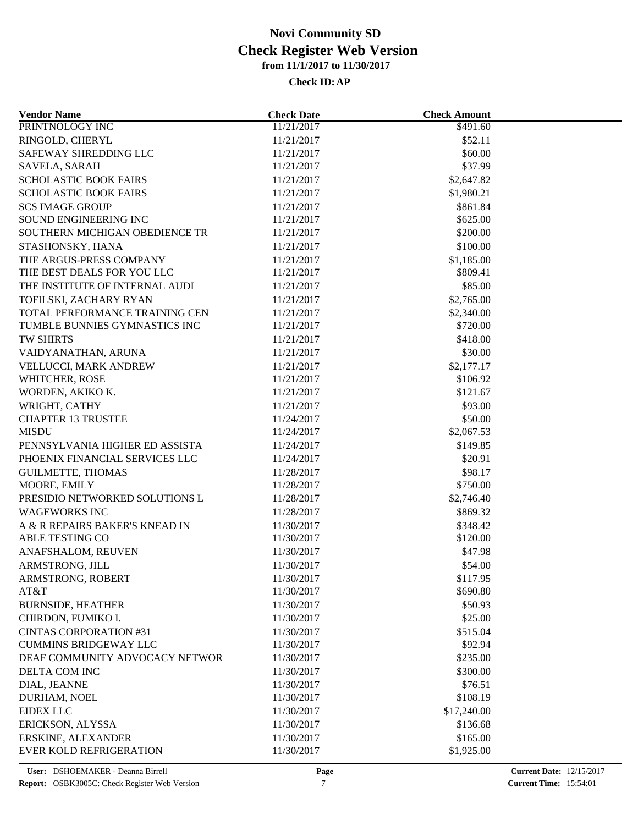| <b>Vendor Name</b>                                            | <b>Check Date</b> | <b>Check Amount</b> |  |
|---------------------------------------------------------------|-------------------|---------------------|--|
| PRINTNOLOGY INC                                               | 11/21/2017        | \$491.60            |  |
| RINGOLD, CHERYL                                               | 11/21/2017        | \$52.11             |  |
| SAFEWAY SHREDDING LLC                                         | 11/21/2017        | \$60.00             |  |
| SAVELA, SARAH                                                 | 11/21/2017        | \$37.99             |  |
| <b>SCHOLASTIC BOOK FAIRS</b>                                  | 11/21/2017        | \$2,647.82          |  |
| <b>SCHOLASTIC BOOK FAIRS</b>                                  | 11/21/2017        | \$1,980.21          |  |
| <b>SCS IMAGE GROUP</b>                                        | 11/21/2017        | \$861.84            |  |
| SOUND ENGINEERING INC                                         | 11/21/2017        | \$625.00            |  |
| SOUTHERN MICHIGAN OBEDIENCE TR                                | 11/21/2017        | \$200.00            |  |
| STASHONSKY, HANA                                              | 11/21/2017        | \$100.00            |  |
| THE ARGUS-PRESS COMPANY                                       | 11/21/2017        | \$1,185.00          |  |
| THE BEST DEALS FOR YOU LLC                                    | 11/21/2017        | \$809.41            |  |
| THE INSTITUTE OF INTERNAL AUDI                                | 11/21/2017        | \$85.00             |  |
| TOFILSKI, ZACHARY RYAN                                        | 11/21/2017        | \$2,765.00          |  |
| TOTAL PERFORMANCE TRAINING CEN                                | 11/21/2017        | \$2,340.00          |  |
| TUMBLE BUNNIES GYMNASTICS INC                                 | 11/21/2017        | \$720.00            |  |
| TW SHIRTS                                                     | 11/21/2017        | \$418.00            |  |
| VAIDYANATHAN, ARUNA                                           | 11/21/2017        | \$30.00             |  |
| VELLUCCI, MARK ANDREW                                         | 11/21/2017        | \$2,177.17          |  |
| WHITCHER, ROSE                                                | 11/21/2017        | \$106.92            |  |
| WORDEN, AKIKO K.                                              | 11/21/2017        | \$121.67            |  |
| WRIGHT, CATHY                                                 | 11/21/2017        | \$93.00             |  |
| <b>CHAPTER 13 TRUSTEE</b>                                     | 11/24/2017        | \$50.00             |  |
| <b>MISDU</b>                                                  | 11/24/2017        | \$2,067.53          |  |
| PENNSYLVANIA HIGHER ED ASSISTA                                | 11/24/2017        | \$149.85            |  |
| PHOENIX FINANCIAL SERVICES LLC                                | 11/24/2017        | \$20.91             |  |
| <b>GUILMETTE, THOMAS</b>                                      | 11/28/2017        | \$98.17             |  |
| MOORE, EMILY                                                  | 11/28/2017        | \$750.00            |  |
| PRESIDIO NETWORKED SOLUTIONS L                                | 11/28/2017        | \$2,746.40          |  |
| <b>WAGEWORKS INC</b>                                          | 11/28/2017        | \$869.32            |  |
| A & R REPAIRS BAKER'S KNEAD IN                                | 11/30/2017        | \$348.42            |  |
| ABLE TESTING CO                                               | 11/30/2017        | \$120.00            |  |
| ANAFSHALOM, REUVEN                                            | 11/30/2017        | \$47.98             |  |
| ARMSTRONG, JILL                                               | 11/30/2017        | \$54.00             |  |
| ARMSTRONG, ROBERT                                             | 11/30/2017        | \$117.95            |  |
| AT&T                                                          | 11/30/2017        | \$690.80            |  |
| <b>BURNSIDE, HEATHER</b>                                      | 11/30/2017        | \$50.93             |  |
|                                                               | 11/30/2017        |                     |  |
| CHIRDON, FUMIKO I.                                            |                   | \$25.00             |  |
| <b>CINTAS CORPORATION #31</b><br><b>CUMMINS BRIDGEWAY LLC</b> | 11/30/2017        | \$515.04            |  |
|                                                               | 11/30/2017        | \$92.94             |  |
| DEAF COMMUNITY ADVOCACY NETWOR                                | 11/30/2017        | \$235.00            |  |
| DELTA COM INC                                                 | 11/30/2017        | \$300.00            |  |
| DIAL, JEANNE                                                  | 11/30/2017        | \$76.51             |  |
| DURHAM, NOEL                                                  | 11/30/2017        | \$108.19            |  |
| <b>EIDEX LLC</b>                                              | 11/30/2017        | \$17,240.00         |  |
| ERICKSON, ALYSSA                                              | 11/30/2017        | \$136.68            |  |
| ERSKINE, ALEXANDER                                            | 11/30/2017        | \$165.00            |  |
| <b>EVER KOLD REFRIGERATION</b>                                | 11/30/2017        | \$1,925.00          |  |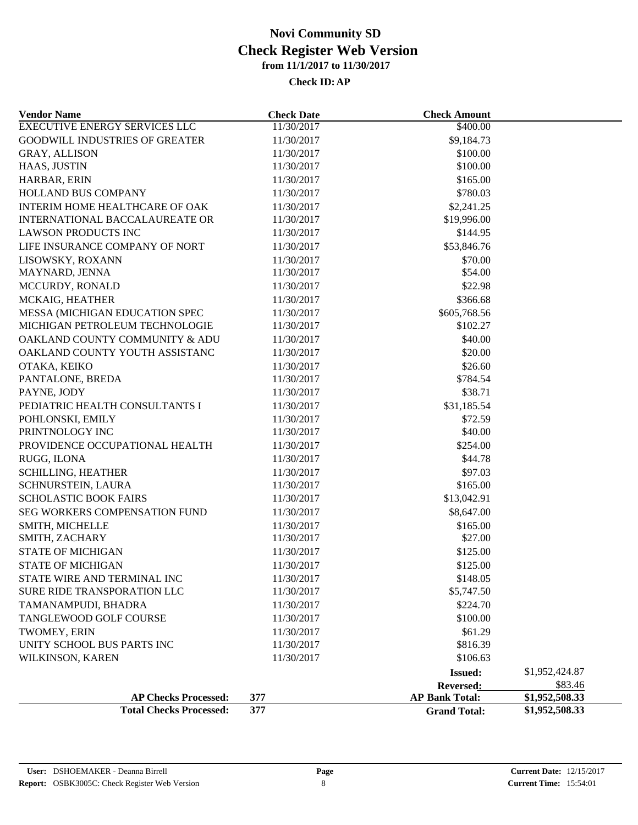| <b>Vendor Name</b>                    | <b>Check Date</b> | <b>Check Amount</b>   |                |
|---------------------------------------|-------------------|-----------------------|----------------|
| <b>EXECUTIVE ENERGY SERVICES LLC</b>  | 11/30/2017        | \$400.00              |                |
| <b>GOODWILL INDUSTRIES OF GREATER</b> | 11/30/2017        | \$9,184.73            |                |
| GRAY, ALLISON                         | 11/30/2017        | \$100.00              |                |
| HAAS, JUSTIN                          | 11/30/2017        | \$100.00              |                |
| HARBAR, ERIN                          | 11/30/2017        | \$165.00              |                |
| HOLLAND BUS COMPANY                   | 11/30/2017        | \$780.03              |                |
| INTERIM HOME HEALTHCARE OF OAK        | 11/30/2017        | \$2,241.25            |                |
| INTERNATIONAL BACCALAUREATE OR        | 11/30/2017        | \$19,996.00           |                |
| <b>LAWSON PRODUCTS INC</b>            | 11/30/2017        | \$144.95              |                |
| LIFE INSURANCE COMPANY OF NORT        | 11/30/2017        | \$53,846.76           |                |
| LISOWSKY, ROXANN                      | 11/30/2017        | \$70.00               |                |
| MAYNARD, JENNA                        | 11/30/2017        | \$54.00               |                |
| MCCURDY, RONALD                       | 11/30/2017        | \$22.98               |                |
| MCKAIG, HEATHER                       | 11/30/2017        | \$366.68              |                |
| MESSA (MICHIGAN EDUCATION SPEC        | 11/30/2017        | \$605,768.56          |                |
| MICHIGAN PETROLEUM TECHNOLOGIE        | 11/30/2017        | \$102.27              |                |
| OAKLAND COUNTY COMMUNITY & ADU        | 11/30/2017        | \$40.00               |                |
| OAKLAND COUNTY YOUTH ASSISTANC        | 11/30/2017        | \$20.00               |                |
| OTAKA, KEIKO                          | 11/30/2017        | \$26.60               |                |
| PANTALONE, BREDA                      | 11/30/2017        | \$784.54              |                |
| PAYNE, JODY                           | 11/30/2017        | \$38.71               |                |
| PEDIATRIC HEALTH CONSULTANTS I        | 11/30/2017        | \$31,185.54           |                |
| POHLONSKI, EMILY                      | 11/30/2017        | \$72.59               |                |
| PRINTNOLOGY INC                       | 11/30/2017        | \$40.00               |                |
| PROVIDENCE OCCUPATIONAL HEALTH        | 11/30/2017        | \$254.00              |                |
| RUGG, ILONA                           | 11/30/2017        | \$44.78               |                |
| <b>SCHILLING, HEATHER</b>             | 11/30/2017        | \$97.03               |                |
| SCHNURSTEIN, LAURA                    | 11/30/2017        | \$165.00              |                |
| <b>SCHOLASTIC BOOK FAIRS</b>          | 11/30/2017        | \$13,042.91           |                |
| SEG WORKERS COMPENSATION FUND         | 11/30/2017        | \$8,647.00            |                |
| SMITH, MICHELLE                       | 11/30/2017        | \$165.00              |                |
| SMITH, ZACHARY                        | 11/30/2017        | \$27.00               |                |
| <b>STATE OF MICHIGAN</b>              | 11/30/2017        | \$125.00              |                |
| <b>STATE OF MICHIGAN</b>              | 11/30/2017        | \$125.00              |                |
| STATE WIRE AND TERMINAL INC           | 11/30/2017        | \$148.05              |                |
| SURE RIDE TRANSPORATION LLC           | 11/30/2017        | \$5,747.50            |                |
| TAMANAMPUDI, BHADRA                   | 11/30/2017        | \$224.70              |                |
| TANGLEWOOD GOLF COURSE                | 11/30/2017        | \$100.00              |                |
| TWOMEY, ERIN                          | 11/30/2017        | \$61.29               |                |
| UNITY SCHOOL BUS PARTS INC            | 11/30/2017        | \$816.39              |                |
| WILKINSON, KAREN                      | 11/30/2017        | \$106.63              |                |
|                                       |                   | <b>Issued:</b>        | \$1,952,424.87 |
|                                       |                   | Reversed:             | \$83.46        |
| <b>AP Checks Processed:</b>           | 377               | <b>AP Bank Total:</b> | \$1,952,508.33 |
| <b>Total Checks Processed:</b>        | 377               | <b>Grand Total:</b>   | \$1,952,508.33 |